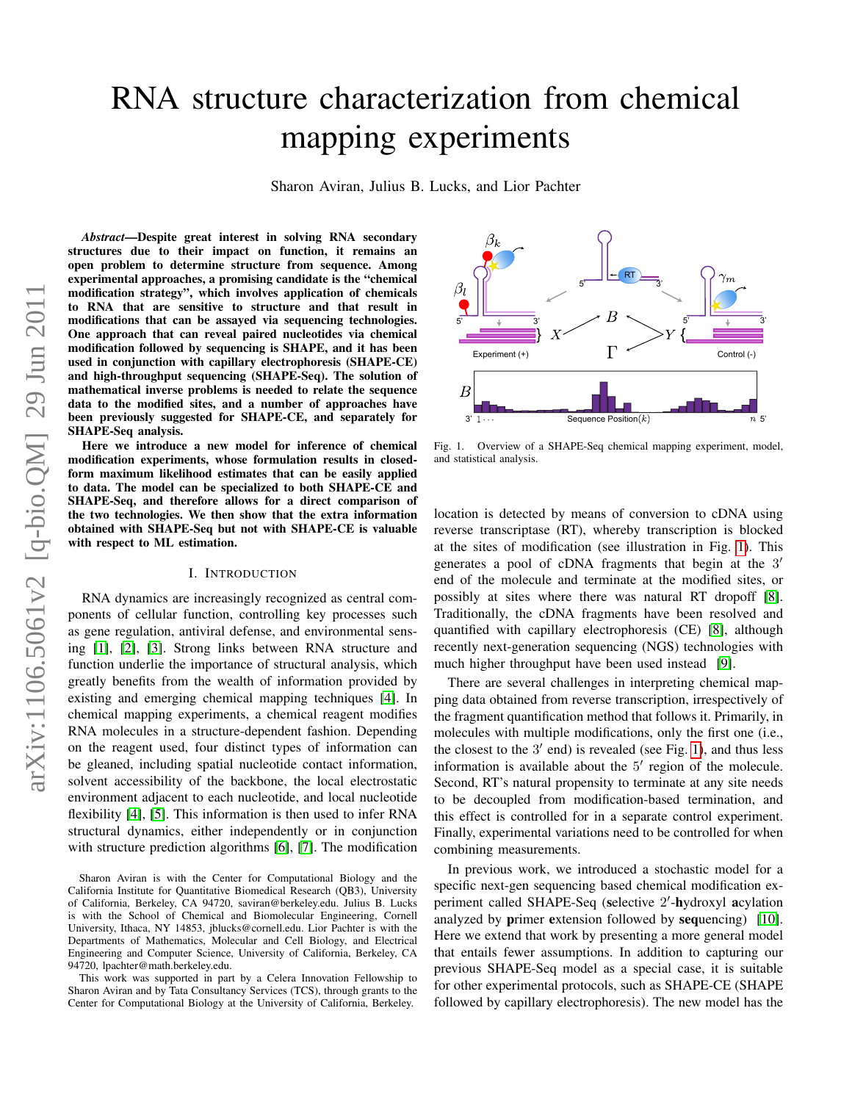# RNA structure characterization from chemical mapping experiments

Sharon Aviran, Julius B. Lucks, and Lior Pachter

*Abstract*—Despite great interest in solving RNA secondary structures due to their impact on function, it remains an open problem to determine structure from sequence. Among experimental approaches, a promising candidate is the "chemical modification strategy", which involves application of chemicals to RNA that are sensitive to structure and that result in modifications that can be assayed via sequencing technologies. One approach that can reveal paired nucleotides via chemical modification followed by sequencing is SHAPE, and it has been used in conjunction with capillary electrophoresis (SHAPE-CE) and high-throughput sequencing (SHAPE-Seq). The solution of mathematical inverse problems is needed to relate the sequence data to the modified sites, and a number of approaches have been previously suggested for SHAPE-CE, and separately for SHAPE-Seq analysis.

Here we introduce a new model for inference of chemical modification experiments, whose formulation results in closedform maximum likelihood estimates that can be easily applied to data. The model can be specialized to both SHAPE-CE and SHAPE-Seq, and therefore allows for a direct comparison of the two technologies. We then show that the extra information obtained with SHAPE-Seq but not with SHAPE-CE is valuable with respect to ML estimation.

## I. INTRODUCTION

RNA dynamics are increasingly recognized as central components of cellular function, controlling key processes such as gene regulation, antiviral defense, and environmental sensing [\[1\]](#page-7-0), [\[2\]](#page-7-1), [\[3\]](#page-7-2). Strong links between RNA structure and function underlie the importance of structural analysis, which greatly benefits from the wealth of information provided by existing and emerging chemical mapping techniques [\[4\]](#page-7-3). In chemical mapping experiments, a chemical reagent modifies RNA molecules in a structure-dependent fashion. Depending on the reagent used, four distinct types of information can be gleaned, including spatial nucleotide contact information, solvent accessibility of the backbone, the local electrostatic environment adjacent to each nucleotide, and local nucleotide flexibility [\[4\]](#page-7-3), [\[5\]](#page-7-4). This information is then used to infer RNA structural dynamics, either independently or in conjunction with structure prediction algorithms [\[6\]](#page-7-5), [\[7\]](#page-7-6). The modification

This work was supported in part by a Celera Innovation Fellowship to Sharon Aviran and by Tata Consultancy Services (TCS), through grants to the Center for Computational Biology at the University of California, Berkeley.



<span id="page-0-0"></span>Fig. 1. Overview of a SHAPE-Seq chemical mapping experiment, model, and statistical analysis.

location is detected by means of conversion to cDNA using reverse transcriptase (RT), whereby transcription is blocked at the sites of modification (see illustration in Fig. [1\)](#page-0-0). This generates a pool of cDNA fragments that begin at the 3' end of the molecule and terminate at the modified sites, or possibly at sites where there was natural RT dropoff [\[8\]](#page-7-7). Traditionally, the cDNA fragments have been resolved and quantified with capillary electrophoresis (CE) [\[8\]](#page-7-7), although recently next-generation sequencing (NGS) technologies with much higher throughput have been used instead [\[9\]](#page-7-8).

There are several challenges in interpreting chemical mapping data obtained from reverse transcription, irrespectively of the fragment quantification method that follows it. Primarily, in molecules with multiple modifications, only the first one (i.e., the closest to the  $3'$  end) is revealed (see Fig. [1\)](#page-0-0), and thus less information is available about the  $5'$  region of the molecule. Second, RT's natural propensity to terminate at any site needs to be decoupled from modification-based termination, and this effect is controlled for in a separate control experiment. Finally, experimental variations need to be controlled for when combining measurements.

In previous work, we introduced a stochastic model for a specific next-gen sequencing based chemical modification experiment called SHAPE-Seq (selective 2'-hydroxyl acylation analyzed by primer extension followed by sequencing) [\[10\]](#page-7-9). Here we extend that work by presenting a more general model that entails fewer assumptions. In addition to capturing our previous SHAPE-Seq model as a special case, it is suitable for other experimental protocols, such as SHAPE-CE (SHAPE followed by capillary electrophoresis). The new model has the

Sharon Aviran is with the Center for Computational Biology and the California Institute for Quantitative Biomedical Research (QB3), University of California, Berkeley, CA 94720, saviran@berkeley.edu. Julius B. Lucks is with the School of Chemical and Biomolecular Engineering, Cornell University, Ithaca, NY 14853, jblucks@cornell.edu. Lior Pachter is with the Departments of Mathematics, Molecular and Cell Biology, and Electrical Engineering and Computer Science, University of California, Berkeley, CA 94720, lpachter@math.berkeley.edu.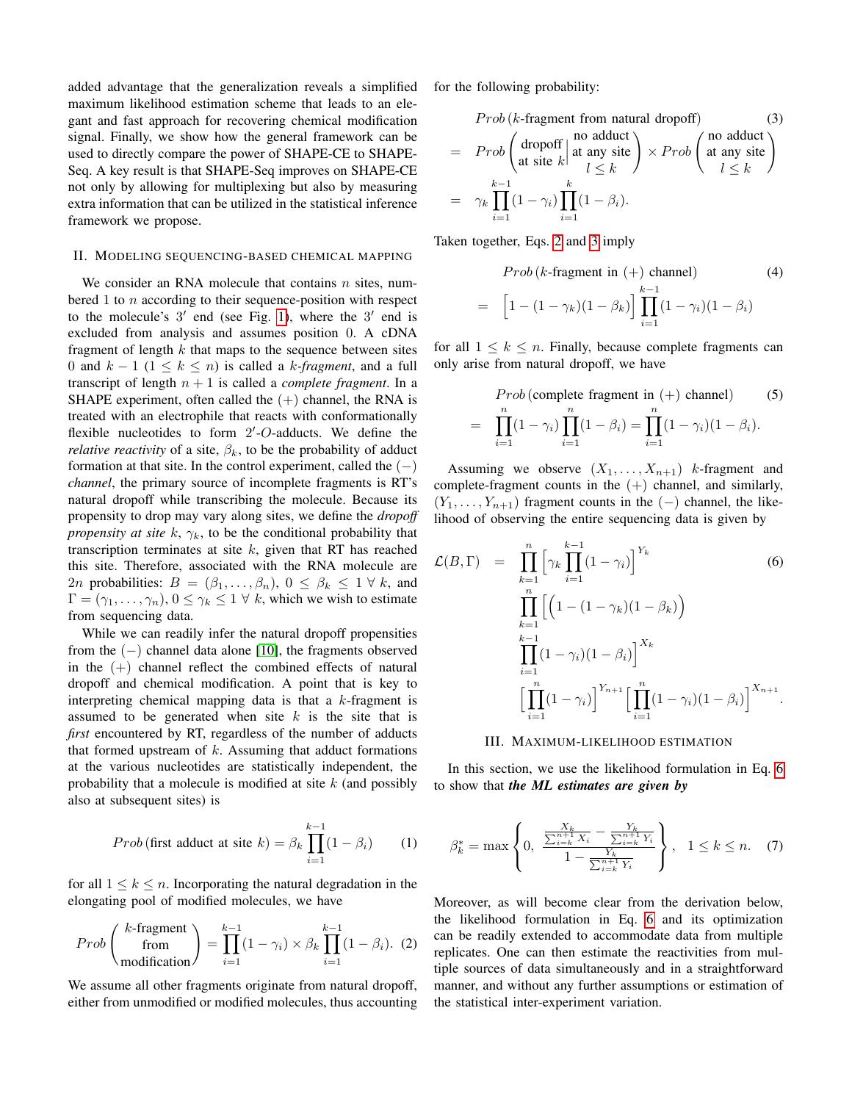added advantage that the generalization reveals a simplified maximum likelihood estimation scheme that leads to an elegant and fast approach for recovering chemical modification signal. Finally, we show how the general framework can be used to directly compare the power of SHAPE-CE to SHAPE-Seq. A key result is that SHAPE-Seq improves on SHAPE-CE not only by allowing for multiplexing but also by measuring extra information that can be utilized in the statistical inference framework we propose.

#### II. MODELING SEQUENCING-BASED CHEMICAL MAPPING

We consider an RNA molecule that contains  $n$  sites, numbered 1 to  $n$  according to their sequence-position with respect to the molecule's  $3'$  end (see Fig. [1\)](#page-0-0), where the  $3'$  end is excluded from analysis and assumes position 0. A cDNA fragment of length  $k$  that maps to the sequence between sites 0 and  $k - 1$  (1  $\leq k \leq n$ ) is called a k-fragment, and a full transcript of length  $n + 1$  is called a *complete fragment*. In a SHAPE experiment, often called the  $(+)$  channel, the RNA is treated with an electrophile that reacts with conformationally flexible nucleotides to form  $2'$ - $O$ -adducts. We define the *relative reactivity* of a site,  $\beta_k$ , to be the probability of adduct formation at that site. In the control experiment, called the  $(-)$ *channel*, the primary source of incomplete fragments is RT's natural dropoff while transcribing the molecule. Because its propensity to drop may vary along sites, we define the *dropoff propensity at site*  $k$ ,  $\gamma_k$ , to be the conditional probability that transcription terminates at site  $k$ , given that RT has reached this site. Therefore, associated with the RNA molecule are 2n probabilities:  $B = (\beta_1, \ldots, \beta_n), 0 \leq \beta_k \leq 1 \forall k$ , and  $\Gamma = (\gamma_1, \ldots, \gamma_n), 0 \leq \gamma_k \leq 1 \ \forall \ k$ , which we wish to estimate from sequencing data.

While we can readily infer the natural dropoff propensities from the  $(-)$  channel data alone [\[10\]](#page-7-9), the fragments observed in the  $(+)$  channel reflect the combined effects of natural dropoff and chemical modification. A point that is key to interpreting chemical mapping data is that a  $k$ -fragment is assumed to be generated when site  $k$  is the site that is *first* encountered by RT, regardless of the number of adducts that formed upstream of  $k$ . Assuming that adduct formations at the various nucleotides are statistically independent, the probability that a molecule is modified at site  $k$  (and possibly also at subsequent sites) is

*Prob* (first adduct at site 
$$
k
$$
) =  $\beta_k \prod_{i=1}^{k-1} (1 - \beta_i)$  (1)

for all  $1 \leq k \leq n$ . Incorporating the natural degradation in the elongating pool of modified molecules, we have

<span id="page-1-0"></span>*Prob* 
$$
\begin{pmatrix} k\text{-fragment} \\ \text{from} \\ \text{modification} \end{pmatrix} = \prod_{i=1}^{k-1} (1 - \gamma_i) \times \beta_k \prod_{i=1}^{k-1} (1 - \beta_i). \tag{2}
$$

We assume all other fragments originate from natural dropoff, either from unmodified or modified molecules, thus accounting for the following probability:

<span id="page-1-1"></span>*Prob* (*k*-fragment from natural dropoff) (3)  
\n
$$
= Prob\begin{pmatrix} \text{dropoff} & \text{no adduct} \\ \text{at site } k \end{pmatrix} \times Prob\begin{pmatrix} \text{no adduct} \\ \text{at any site} \\ l \leq k \end{pmatrix}
$$
\n
$$
= \gamma_k \prod_{i=1}^{k-1} (1 - \gamma_i) \prod_{i=1}^{k} (1 - \beta_i).
$$

Taken together, Eqs. [2](#page-1-0) and [3](#page-1-1) imply

*Prob* (*k*-fragment in (+) channel) (4)  
= 
$$
\left[1 - (1 - \gamma_k)(1 - \beta_k)\right] \prod_{i=1}^{k-1} (1 - \gamma_i)(1 - \beta_i)
$$

for all  $1 \leq k \leq n$ . Finally, because complete fragments can only arise from natural dropoff, we have

*Prob* (complete fragment in (+) channel) (5)  
= 
$$
\prod_{i=1}^{n} (1 - \gamma_i) \prod_{i=1}^{n} (1 - \beta_i) = \prod_{i=1}^{n} (1 - \gamma_i) (1 - \beta_i).
$$

Assuming we observe  $(X_1, \ldots, X_{n+1})$  k-fragment and complete-fragment counts in the  $(+)$  channel, and similarly,  $(Y_1, \ldots, Y_{n+1})$  fragment counts in the  $(-)$  channel, the likelihood of observing the entire sequencing data is given by

<span id="page-1-2"></span>
$$
\mathcal{L}(B, \Gamma) = \prod_{k=1}^{n} \left[ \gamma_k \prod_{i=1}^{k-1} (1 - \gamma_i) \right]^{Y_k}
$$
(6)  

$$
\prod_{k=1}^{n} \left[ \left( 1 - (1 - \gamma_k)(1 - \beta_k) \right) \right]
$$
  

$$
\prod_{i=1}^{k-1} (1 - \gamma_i)(1 - \beta_i) \Big]^{X_k}
$$
  

$$
\left[ \prod_{i=1}^{n} (1 - \gamma_i) \right]^{Y_{n+1}} \left[ \prod_{i=1}^{n} (1 - \gamma_i)(1 - \beta_i) \right]^{X_{n+1}}.
$$

#### III. MAXIMUM-LIKELIHOOD ESTIMATION

In this section, we use the likelihood formulation in Eq. [6](#page-1-2) to show that *the ML estimates are given by*

<span id="page-1-3"></span>
$$
\beta_k^* = \max\left\{0, \frac{\frac{X_k}{\sum_{i=k}^{n+1} X_i} - \frac{Y_k}{\sum_{i=k}^{n+1} Y_i}}{1 - \frac{Y_k}{\sum_{i=k}^{n+1} Y_i}}\right\}, \quad 1 \le k \le n. \quad (7)
$$

Moreover, as will become clear from the derivation below, the likelihood formulation in Eq. [6](#page-1-2) and its optimization can be readily extended to accommodate data from multiple replicates. One can then estimate the reactivities from multiple sources of data simultaneously and in a straightforward manner, and without any further assumptions or estimation of the statistical inter-experiment variation.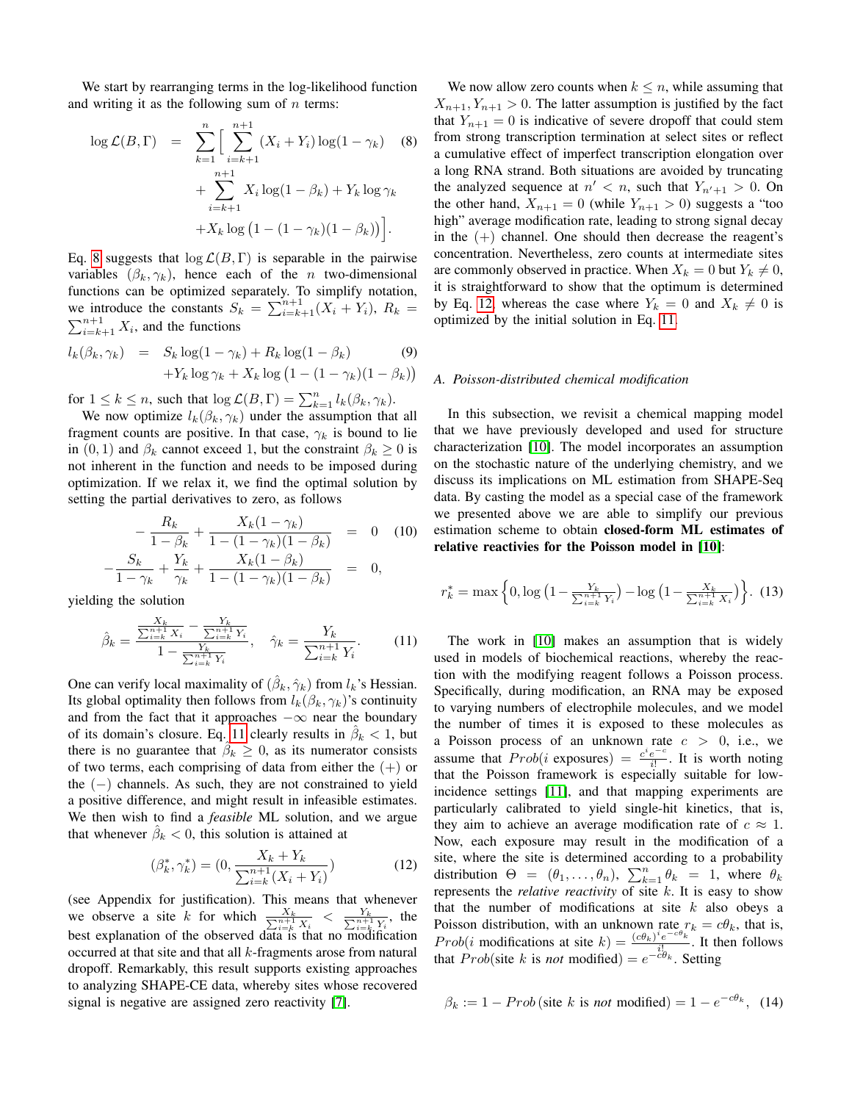We start by rearranging terms in the log-likelihood function and writing it as the following sum of  $n$  terms:

<span id="page-2-0"></span>
$$
\log \mathcal{L}(B, \Gamma) = \sum_{k=1}^{n} \Big[ \sum_{i=k+1}^{n+1} (X_i + Y_i) \log(1 - \gamma_k) \quad (8)
$$
  
+ 
$$
\sum_{i=k+1}^{n+1} X_i \log(1 - \beta_k) + Y_k \log \gamma_k
$$
  
+ 
$$
X_k \log (1 - (1 - \gamma_k)(1 - \beta_k)) \Big].
$$

Eq. [8](#page-2-0) suggests that  $\log \mathcal{L}(B, \Gamma)$  is separable in the pairwise variables  $(\beta_k, \gamma_k)$ , hence each of the *n* two-dimensional functions can be optimized separately. To simplify notation, we introduce the constants  $S_k = \sum_{i=k+1}^{n+1} (X_i + Y_i)$ ,  $R_k =$  $\sum_{i=k+1}^{n+1} X_i$ , and the functions

$$
l_k(\beta_k, \gamma_k) = S_k \log(1 - \gamma_k) + R_k \log(1 - \beta_k)
$$
(9)  
+
$$
Y_k \log \gamma_k + X_k \log (1 - (1 - \gamma_k)(1 - \beta_k))
$$

for  $1 \leq k \leq n$ , such that  $\log \mathcal{L}(B, \Gamma) = \sum_{k=1}^{n} l_k(\beta_k, \gamma_k)$ .

We now optimize  $l_k(\beta_k, \gamma_k)$  under the assumption that all fragment counts are positive. In that case,  $\gamma_k$  is bound to lie in (0, 1) and  $\beta_k$  cannot exceed 1, but the constraint  $\beta_k \geq 0$  is not inherent in the function and needs to be imposed during optimization. If we relax it, we find the optimal solution by setting the partial derivatives to zero, as follows

$$
-\frac{R_k}{1-\beta_k} + \frac{X_k(1-\gamma_k)}{1-(1-\gamma_k)(1-\beta_k)} = 0 \quad (10)
$$

$$
-\frac{S_k}{1-\gamma_k} + \frac{Y_k}{\gamma_k} + \frac{X_k(1-\beta_k)}{1-(1-\gamma_k)(1-\beta_k)} = 0,
$$

yielding the solution

<span id="page-2-1"></span>
$$
\hat{\beta}_k = \frac{\frac{X_k}{\sum_{i=k}^{n+1} X_i} - \frac{Y_k}{\sum_{i=k}^{n+1} Y_i}}{1 - \frac{Y_k}{\sum_{i=k}^{n+1} Y_i}}, \quad \hat{\gamma}_k = \frac{Y_k}{\sum_{i=k}^{n+1} Y_i}.
$$
 (11)

One can verify local maximality of  $(\hat{\beta}_k, \hat{\gamma}_k)$  from  $l_k$ 's Hessian. Its global optimality then follows from  $l_k(\beta_k, \gamma_k)$ 's continuity and from the fact that it approaches  $-\infty$  near the boundary of its domain's closure. Eq. [11](#page-2-1) clearly results in  $\hat{\beta}_k < 1$ , but there is no guarantee that  $\hat{\beta}_k \geq 0$ , as its numerator consists of two terms, each comprising of data from either the  $(+)$  or the (−) channels. As such, they are not constrained to yield a positive difference, and might result in infeasible estimates. We then wish to find a *feasible* ML solution, and we argue that whenever  $\hat{\beta}_k < 0$ , this solution is attained at

<span id="page-2-2"></span>
$$
(\beta_k^*, \gamma_k^*) = (0, \frac{X_k + Y_k}{\sum_{i=k}^{n+1} (X_i + Y_i)})
$$
(12)

(see Appendix for justification). This means that whenever we observe a site k for which  $\frac{X_k}{\sum_{i=k}^{n+1} X_i} < \frac{Y_k}{\sum_{i=k}^{n+1} Y_i}$ , the best explanation of the observed data is that no modification occurred at that site and that all  $k$ -fragments arose from natural dropoff. Remarkably, this result supports existing approaches to analyzing SHAPE-CE data, whereby sites whose recovered signal is negative are assigned zero reactivity [\[7\]](#page-7-6).

We now allow zero counts when  $k \leq n$ , while assuming that  $X_{n+1}, Y_{n+1} > 0$ . The latter assumption is justified by the fact that  $Y_{n+1} = 0$  is indicative of severe dropoff that could stem from strong transcription termination at select sites or reflect a cumulative effect of imperfect transcription elongation over a long RNA strand. Both situations are avoided by truncating the analyzed sequence at  $n' < n$ , such that  $Y_{n'+1} > 0$ . On the other hand,  $X_{n+1} = 0$  (while  $Y_{n+1} > 0$ ) suggests a "too high" average modification rate, leading to strong signal decay in the  $(+)$  channel. One should then decrease the reagent's concentration. Nevertheless, zero counts at intermediate sites are commonly observed in practice. When  $X_k = 0$  but  $Y_k \neq 0$ , it is straightforward to show that the optimum is determined by Eq. [12,](#page-2-2) whereas the case where  $Y_k = 0$  and  $X_k \neq 0$  is optimized by the initial solution in Eq. [11.](#page-2-1)

#### *A. Poisson-distributed chemical modification*

In this subsection, we revisit a chemical mapping model that we have previously developed and used for structure characterization [\[10\]](#page-7-9). The model incorporates an assumption on the stochastic nature of the underlying chemistry, and we discuss its implications on ML estimation from SHAPE-Seq data. By casting the model as a special case of the framework we presented above we are able to simplify our previous estimation scheme to obtain closed-form ML estimates of relative reactivies for the Poisson model in [\[10\]](#page-7-9):

<span id="page-2-4"></span>
$$
r_k^* = \max\left\{0, \log\left(1 - \frac{Y_k}{\sum_{i=k}^{n+1} Y_i}\right) - \log\left(1 - \frac{X_k}{\sum_{i=k}^{n+1} X_i}\right)\right\}.
$$
 (13)

The work in [\[10\]](#page-7-9) makes an assumption that is widely used in models of biochemical reactions, whereby the reaction with the modifying reagent follows a Poisson process. Specifically, during modification, an RNA may be exposed to varying numbers of electrophile molecules, and we model the number of times it is exposed to these molecules as a Poisson process of an unknown rate  $c > 0$ , i.e., we assume that  $Prob(i \text{ exposures}) = \frac{c^i e^{-c}}{i!}$  $\frac{e}{i!}$ . It is worth noting that the Poisson framework is especially suitable for lowincidence settings [\[11\]](#page-7-10), and that mapping experiments are particularly calibrated to yield single-hit kinetics, that is, they aim to achieve an average modification rate of  $c \approx 1$ . Now, each exposure may result in the modification of a site, where the site is determined according to a probability distribution  $\Theta = (\theta_1, \dots, \theta_n), \sum_{k=1}^n \theta_k = 1$ , where  $\theta_k$ represents the *relative reactivity* of site k. It is easy to show that the number of modifications at site  $k$  also obeys a Poisson distribution, with an unknown rate  $r_k = c\theta_k$ , that is,  $Prob(i \text{ modifications at site } k) = \frac{(c\theta_k)^i e^{-c\theta_k}}{i!}$  $\frac{e^{-\kappa}}{i!_0}$ . It then follows that  $Prob(\text{site } k \text{ is not modified}) = e^{-c\theta_k}$ . Setting

<span id="page-2-3"></span>
$$
\beta_k := 1 - Prob(\text{site } k \text{ is not modified}) = 1 - e^{-c\theta_k}, \tag{14}
$$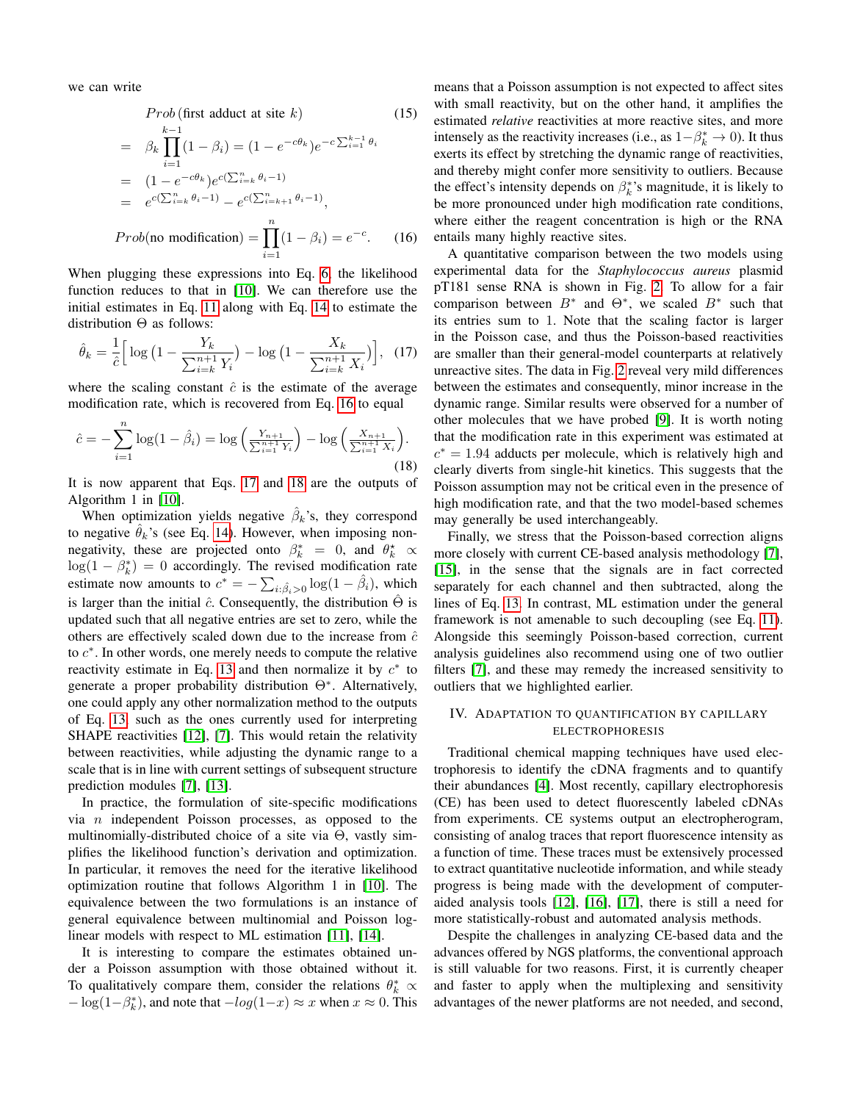we can write

$$
Prob \text{ (first adduct at site } k) \qquad (15)
$$
\n
$$
= \beta_k \prod_{i=1}^{k-1} (1 - \beta_i) = (1 - e^{-c\theta_k})e^{-c\sum_{i=1}^{k-1} \theta_i}
$$
\n
$$
= (1 - e^{-c\theta_k})e^{c(\sum_{i=k}^n \theta_i - 1)}
$$
\n
$$
= e^{c(\sum_{i=k}^n \theta_i - 1)} - e^{c(\sum_{i=k+1}^n \theta_i - 1)},
$$
\n
$$
Prob \text{ (no modification)} = \prod_{i=1}^n (1 - \beta_i) = e^{-c}. \qquad (16)
$$

<span id="page-3-0"></span>When plugging these expressions into Eq. [6,](#page-1-2) the likelihood function reduces to that in [\[10\]](#page-7-9). We can therefore use the initial estimates in Eq. [11](#page-2-1) along with Eq. [14](#page-2-3) to estimate the distribution Θ as follows:

<span id="page-3-1"></span>
$$
\hat{\theta}_k = \frac{1}{\hat{c}} \Big[ \log \big( 1 - \frac{Y_k}{\sum_{i=k}^{n+1} Y_i} \big) - \log \big( 1 - \frac{X_k}{\sum_{i=k}^{n+1} X_i} \big) \Big], \tag{17}
$$

where the scaling constant  $\hat{c}$  is the estimate of the average modification rate, which is recovered from Eq. [16](#page-3-0) to equal

<span id="page-3-2"></span>
$$
\hat{c} = -\sum_{i=1}^{n} \log(1 - \hat{\beta}_i) = \log\left(\frac{Y_{n+1}}{\sum_{i=1}^{n+1} Y_i}\right) - \log\left(\frac{X_{n+1}}{\sum_{i=1}^{n+1} X_i}\right).
$$
\n(18)

It is now apparent that Eqs. [17](#page-3-1) and [18](#page-3-2) are the outputs of Algorithm 1 in [\[10\]](#page-7-9).

When optimization yields negative  $\hat{\beta}_k$ 's, they correspond to negative  $\hat{\theta}_k$ 's (see Eq. [14\)](#page-2-3). However, when imposing nonnegativity, these are projected onto  $\beta_k^* = 0$ , and  $\theta_k^* \propto$  $log(1 - \beta_k^*) = 0$  accordingly. The revised modification rate estimate now amounts to  $c^* = -\sum_{i:\hat{\beta}_i>0} \log(1-\hat{\beta}_i)$ , which is larger than the initial  $\hat{c}$ . Consequently, the distribution  $\hat{\Theta}$  is updated such that all negative entries are set to zero, while the others are effectively scaled down due to the increase from  $\hat{c}$ to  $c^*$ . In other words, one merely needs to compute the relative reactivity estimate in Eq. [13](#page-2-4) and then normalize it by  $c^*$  to generate a proper probability distribution Θ<sup>∗</sup> . Alternatively, one could apply any other normalization method to the outputs of Eq. [13,](#page-2-4) such as the ones currently used for interpreting SHAPE reactivities [\[12\]](#page-7-11), [\[7\]](#page-7-6). This would retain the relativity between reactivities, while adjusting the dynamic range to a scale that is in line with current settings of subsequent structure prediction modules [\[7\]](#page-7-6), [\[13\]](#page-7-12).

In practice, the formulation of site-specific modifications via  $n$  independent Poisson processes, as opposed to the multinomially-distributed choice of a site via  $\Theta$ , vastly simplifies the likelihood function's derivation and optimization. In particular, it removes the need for the iterative likelihood optimization routine that follows Algorithm 1 in [\[10\]](#page-7-9). The equivalence between the two formulations is an instance of general equivalence between multinomial and Poisson loglinear models with respect to ML estimation [\[11\]](#page-7-10), [\[14\]](#page-7-13).

It is interesting to compare the estimates obtained under a Poisson assumption with those obtained without it. To qualitatively compare them, consider the relations  $\theta_k^* \propto$  $-\log(1-\beta_k^*)$ , and note that  $-log(1-x) \approx x$  when  $x \approx 0$ . This means that a Poisson assumption is not expected to affect sites with small reactivity, but on the other hand, it amplifies the estimated *relative* reactivities at more reactive sites, and more intensely as the reactivity increases (i.e., as  $1-\beta_k^* \to 0$ ). It thus exerts its effect by stretching the dynamic range of reactivities, and thereby might confer more sensitivity to outliers. Because the effect's intensity depends on  $\beta_k^*$ 's magnitude, it is likely to be more pronounced under high modification rate conditions, where either the reagent concentration is high or the RNA entails many highly reactive sites.

A quantitative comparison between the two models using experimental data for the *Staphylococcus aureus* plasmid pT181 sense RNA is shown in Fig. [2.](#page-4-0) To allow for a fair comparison between  $B^*$  and  $\Theta^*$ , we scaled  $B^*$  such that its entries sum to 1. Note that the scaling factor is larger in the Poisson case, and thus the Poisson-based reactivities are smaller than their general-model counterparts at relatively unreactive sites. The data in Fig. [2](#page-4-0) reveal very mild differences between the estimates and consequently, minor increase in the dynamic range. Similar results were observed for a number of other molecules that we have probed [\[9\]](#page-7-8). It is worth noting that the modification rate in this experiment was estimated at  $c^* = 1.94$  adducts per molecule, which is relatively high and clearly diverts from single-hit kinetics. This suggests that the Poisson assumption may not be critical even in the presence of high modification rate, and that the two model-based schemes may generally be used interchangeably.

Finally, we stress that the Poisson-based correction aligns more closely with current CE-based analysis methodology [\[7\]](#page-7-6), [\[15\]](#page-7-14), in the sense that the signals are in fact corrected separately for each channel and then subtracted, along the lines of Eq. [13.](#page-2-4) In contrast, ML estimation under the general framework is not amenable to such decoupling (see Eq. [11\)](#page-2-1). Alongside this seemingly Poisson-based correction, current analysis guidelines also recommend using one of two outlier filters [\[7\]](#page-7-6), and these may remedy the increased sensitivity to outliers that we highlighted earlier.

# IV. ADAPTATION TO QUANTIFICATION BY CAPILLARY **ELECTROPHORESIS**

Traditional chemical mapping techniques have used electrophoresis to identify the cDNA fragments and to quantify their abundances [\[4\]](#page-7-3). Most recently, capillary electrophoresis (CE) has been used to detect fluorescently labeled cDNAs from experiments. CE systems output an electropherogram, consisting of analog traces that report fluorescence intensity as a function of time. These traces must be extensively processed to extract quantitative nucleotide information, and while steady progress is being made with the development of computeraided analysis tools [\[12\]](#page-7-11), [\[16\]](#page-7-15), [\[17\]](#page-7-16), there is still a need for more statistically-robust and automated analysis methods.

Despite the challenges in analyzing CE-based data and the advances offered by NGS platforms, the conventional approach is still valuable for two reasons. First, it is currently cheaper and faster to apply when the multiplexing and sensitivity advantages of the newer platforms are not needed, and second,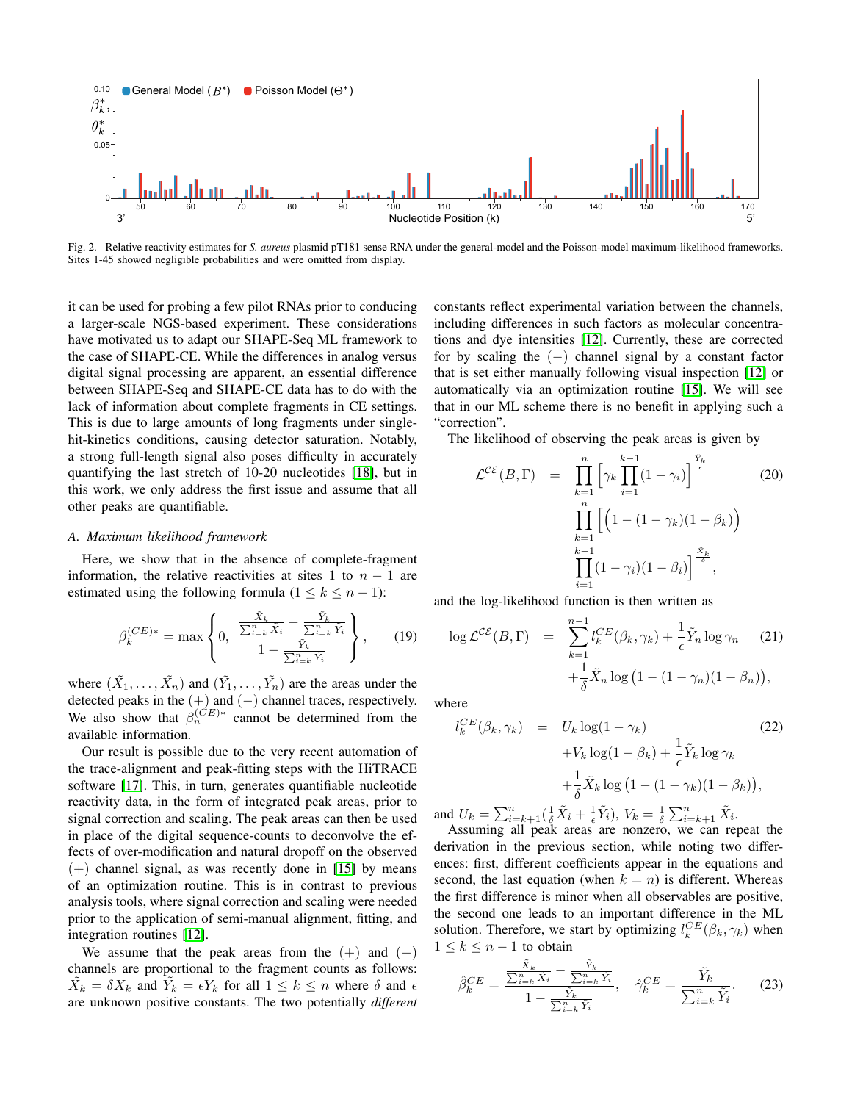

<span id="page-4-0"></span>Fig. 2. Relative reactivity estimates for *S. aureus* plasmid pT181 sense RNA under the general-model and the Poisson-model maximum-likelihood frameworks. Sites 1-45 showed negligible probabilities and were omitted from display.

it can be used for probing a few pilot RNAs prior to conducing a larger-scale NGS-based experiment. These considerations have motivated us to adapt our SHAPE-Seq ML framework to the case of SHAPE-CE. While the differences in analog versus digital signal processing are apparent, an essential difference between SHAPE-Seq and SHAPE-CE data has to do with the lack of information about complete fragments in CE settings. This is due to large amounts of long fragments under singlehit-kinetics conditions, causing detector saturation. Notably, a strong full-length signal also poses difficulty in accurately quantifying the last stretch of 10-20 nucleotides [\[18\]](#page-7-17), but in this work, we only address the first issue and assume that all other peaks are quantifiable.

## *A. Maximum likelihood framework*

Here, we show that in the absence of complete-fragment information, the relative reactivities at sites 1 to  $n - 1$  are estimated using the following formula ( $1 \leq k \leq n - 1$ ):

<span id="page-4-1"></span>
$$
\beta_k^{(CE)*} = \max \left\{ 0, \ \frac{\frac{\tilde{X}_k}{\sum_{i=k}^n \tilde{X}_i} - \frac{\tilde{Y}_k}{\sum_{i=k}^n \tilde{Y}_i}}{1 - \frac{\tilde{Y}_k}{\sum_{i=k}^n \tilde{Y}_i}} \right\},\qquad(19)
$$

where  $(\tilde{X}_1, \ldots, \tilde{X}_n)$  and  $(\tilde{Y}_1, \ldots, \tilde{Y}_n)$  are the areas under the detected peaks in the  $(+)$  and  $(-)$  channel traces, respectively. We also show that  $\beta_n^{(CE)*}$  cannot be determined from the available information.

Our result is possible due to the very recent automation of the trace-alignment and peak-fitting steps with the HiTRACE software [\[17\]](#page-7-16). This, in turn, generates quantifiable nucleotide reactivity data, in the form of integrated peak areas, prior to signal correction and scaling. The peak areas can then be used in place of the digital sequence-counts to deconvolve the effects of over-modification and natural dropoff on the observed  $(+)$  channel signal, as was recently done in [\[15\]](#page-7-14) by means of an optimization routine. This is in contrast to previous analysis tools, where signal correction and scaling were needed prior to the application of semi-manual alignment, fitting, and integration routines [\[12\]](#page-7-11).

We assume that the peak areas from the  $(+)$  and  $(-)$ channels are proportional to the fragment counts as follows:  $\tilde{X}_k = \delta X_k$  and  $\tilde{Y}_k = \epsilon Y_k$  for all  $1 \leq k \leq n$  where  $\delta$  and  $\epsilon$ are unknown positive constants. The two potentially *different* constants reflect experimental variation between the channels, including differences in such factors as molecular concentrations and dye intensities [\[12\]](#page-7-11). Currently, these are corrected for by scaling the  $(-)$  channel signal by a constant factor that is set either manually following visual inspection [\[12\]](#page-7-11) or automatically via an optimization routine [\[15\]](#page-7-14). We will see that in our ML scheme there is no benefit in applying such a "correction".

The likelihood of observing the peak areas is given by

$$
\mathcal{L}^{CE}(B,\Gamma) = \prod_{k=1}^{n} \left[ \gamma_k \prod_{i=1}^{k-1} (1 - \gamma_i) \right]^{\frac{\tilde{Y}_k}{\epsilon}}
$$
(20)  

$$
\prod_{k=1}^{n} \left[ \left( 1 - (1 - \gamma_k)(1 - \beta_k) \right) \right]
$$
  

$$
\prod_{i=1}^{k-1} (1 - \gamma_i)(1 - \beta_i) \Big]^{\frac{\tilde{X}_k}{\delta}},
$$

and the log-likelihood function is then written as

$$
\log \mathcal{L}^{CE}(B, \Gamma) = \sum_{k=1}^{n-1} l_k^{CE}(\beta_k, \gamma_k) + \frac{1}{\epsilon} \tilde{Y}_n \log \gamma_n \quad (21)
$$

$$
+ \frac{1}{\delta} \tilde{X}_n \log \left(1 - (1 - \gamma_n)(1 - \beta_n)\right),
$$

where

$$
l_k^{CE}(\beta_k, \gamma_k) = U_k \log(1 - \gamma_k)
$$
\n
$$
+V_k \log(1 - \beta_k) + \frac{1}{\epsilon} \tilde{Y}_k \log \gamma_k
$$
\n
$$
+ \frac{1}{\delta} \tilde{X}_k \log (1 - (1 - \gamma_k)(1 - \beta_k)),
$$
\n(22)

and  $U_k = \sum_{i=k+1}^n (\frac{1}{\delta} \tilde{X}_i + \frac{1}{\epsilon} \tilde{Y}_i), V_k = \frac{1}{\delta} \sum_{i=k+1}^n \tilde{X}_i.$ 

Assuming all peak areas are nonzero, we can repeat the derivation in the previous section, while noting two differences: first, different coefficients appear in the equations and second, the last equation (when  $k = n$ ) is different. Whereas the first difference is minor when all observables are positive, the second one leads to an important difference in the ML solution. Therefore, we start by optimizing  $l_k^{CE}(\beta_k, \gamma_k)$  when  $1 \leq k \leq n-1$  to obtain

$$
\hat{\beta}_k^{CE} = \frac{\frac{\tilde{X}_k}{\sum_{i=k}^n \tilde{X}_i} - \frac{\tilde{Y}_k}{\sum_{i=k}^n \tilde{Y}_i}}{1 - \frac{\tilde{Y}_k}{\sum_{i=k}^n \tilde{Y}_i}}, \quad \hat{\gamma}_k^{CE} = \frac{\tilde{Y}_k}{\sum_{i=k}^n \tilde{Y}_i}.
$$
 (23)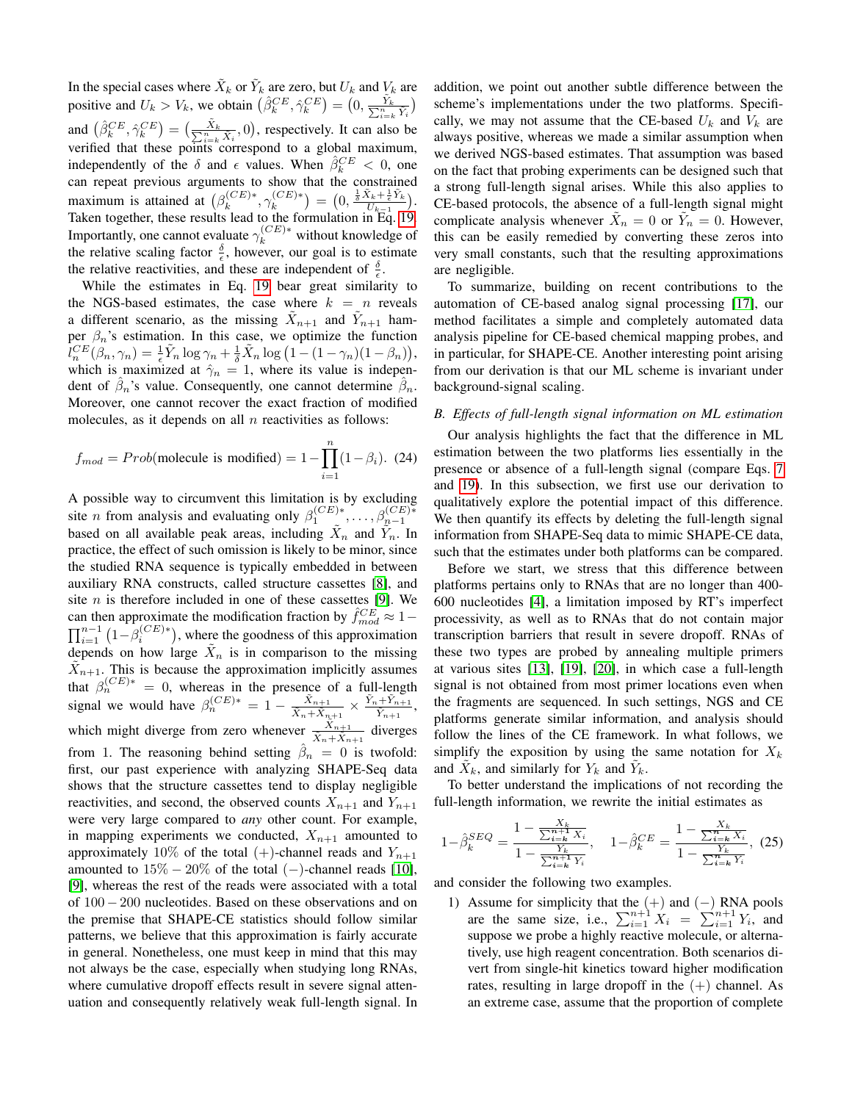In the special cases where  $\tilde{X}_k$  or  $\tilde{Y}_k$  are zero, but  $U_k$  and  $V_k$  are positive and  $U_k > V_k$ , we obtain  $(\hat{\beta}_k^{CE}, \hat{\gamma}_k^{CE}) = (0, \frac{\tilde{Y}_k}{\sum_{i=k}^n \tilde{Y}_i})$ and  $(\hat{\beta}_k^{CE}, \hat{\gamma}_k^{CE}) = (\frac{\tilde{X}_k}{\sum_{i=k}^n \tilde{X}_i}, 0)$ , respectively. It can also be verified that these points correspond to a global maximum, independently of the  $\delta$  and  $\epsilon$  values. When  $\hat{\beta}_k^{CE} < 0$ , one can repeat previous arguments to show that the constrained maximum is attained at  $(\beta_k^{(CE)*}$  $_{k}^{(CE)*},\gamma _{k}^{(CE)*}$  $\binom{(CE)*}{k} = \left(0, \frac{\frac{1}{\delta}\tilde{X}_k + \frac{1}{\epsilon}\tilde{Y}_k}{U_{k-1}}\right)$  $\frac{K_k+\frac{2}{\epsilon}Y_k}{U_{k-1}}$ . Taken together, these results lead to the formulation in Eq. [19.](#page-4-1) Importantly, one cannot evaluate  $\gamma_k^{(CE)*}$  without knowledge of the relative scaling factor  $\frac{\delta}{\epsilon}$ , however, our goal is to estimate the relative reactivities, and these are independent of  $\frac{\delta}{\epsilon}$ .

While the estimates in Eq. [19](#page-4-1) bear great similarity to the NGS-based estimates, the case where  $k = n$  reveals a different scenario, as the missing  $\tilde{X}_{n+1}$  and  $\tilde{Y}_{n+1}$  hamper  $\beta_n$ 's estimation. In this case, we optimize the function  $\hat{l}_n^{CE}(\beta_n, \gamma_n) = \frac{1}{\epsilon}\tilde{Y}_n \log \gamma_n + \frac{1}{\delta}\tilde{X}_n \log (1 - (1 - \gamma_n)(1 - \beta_n)),$ which is maximized at  $\hat{\gamma}_n = 1$ , where its value is independent of  $\hat{\beta}_n$ 's value. Consequently, one cannot determine  $\hat{\beta}_n$ . Moreover, one cannot recover the exact fraction of modified molecules, as it depends on all  $n$  reactivities as follows:

<span id="page-5-0"></span>
$$
f_{mod} = Prob(\text{molecule is modified}) = 1 - \prod_{i=1}^{n} (1 - \beta_i).
$$
 (24)

A possible way to circumvent this limitation is by excluding site *n* from analysis and evaluating only  $\beta_1^{(CE)*}, \ldots, \beta_{n-1}^{(CE)*}$ based on all available peak areas, including  $\tilde{X}_n$  and  $\tilde{Y}_n$ . In practice, the effect of such omission is likely to be minor, since the studied RNA sequence is typically embedded in between auxiliary RNA constructs, called structure cassettes [\[8\]](#page-7-7), and site  $n$  is therefore included in one of these cassettes [\[9\]](#page-7-8). We can then approximate the modification fraction by  $\hat{f}_{mod}^{CE} \approx 1 \prod_{i=1}^{n-1} (1 - \beta_i^{(CE)*})$ , where the goodness of this approximation depends on how large  $\tilde{X}_n$  is in comparison to the missing  $\tilde{X}_{n+1}$ . This is because the approximation implicitly assumes that  $\beta_n^{(CE)*} = 0$ , whereas in the presence of a full-length signal we would have  $\beta_n^{(CE)*} = 1 - \frac{\tilde{X}_{n+1}}{\tilde{Y}_{n+1}}$  $\frac{\tilde{X}_{n+1}}{\tilde{X}_{n}+\tilde{X}_{n+1}} \times \frac{\tilde{Y}_{n}+\tilde{Y}_{n+1}}{\tilde{Y}_{n+1}}$  $\frac{\zeta+I_{n+1}}{\tilde{Y}_{n+1}},$ which might diverge from zero whenever  $\frac{\bar{X}_{n+1}}{\bar{X}_{n} + \bar{X}_{n+1}}$  diverges from 1. The reasoning behind setting  $\hat{\beta}_n = 0$  is twofold: first, our past experience with analyzing SHAPE-Seq data shows that the structure cassettes tend to display negligible reactivities, and second, the observed counts  $X_{n+1}$  and  $Y_{n+1}$ were very large compared to *any* other count. For example, in mapping experiments we conducted,  $X_{n+1}$  amounted to approximately 10% of the total  $(+)$ -channel reads and  $Y_{n+1}$ amounted to  $15\% - 20\%$  of the total (-)-channel reads [\[10\]](#page-7-9), [\[9\]](#page-7-8), whereas the rest of the reads were associated with a total of 100−200 nucleotides. Based on these observations and on the premise that SHAPE-CE statistics should follow similar patterns, we believe that this approximation is fairly accurate in general. Nonetheless, one must keep in mind that this may not always be the case, especially when studying long RNAs, where cumulative dropoff effects result in severe signal attenuation and consequently relatively weak full-length signal. In

addition, we point out another subtle difference between the scheme's implementations under the two platforms. Specifically, we may not assume that the CE-based  $U_k$  and  $V_k$  are always positive, whereas we made a similar assumption when we derived NGS-based estimates. That assumption was based on the fact that probing experiments can be designed such that a strong full-length signal arises. While this also applies to CE-based protocols, the absence of a full-length signal might complicate analysis whenever  $\tilde{X}_n = 0$  or  $\tilde{Y}_n = 0$ . However, this can be easily remedied by converting these zeros into very small constants, such that the resulting approximations are negligible.

To summarize, building on recent contributions to the automation of CE-based analog signal processing [\[17\]](#page-7-16), our method facilitates a simple and completely automated data analysis pipeline for CE-based chemical mapping probes, and in particular, for SHAPE-CE. Another interesting point arising from our derivation is that our ML scheme is invariant under background-signal scaling.

# *B. Effects of full-length signal information on ML estimation*

Our analysis highlights the fact that the difference in ML estimation between the two platforms lies essentially in the presence or absence of a full-length signal (compare Eqs. [7](#page-1-3) and [19\)](#page-4-1). In this subsection, we first use our derivation to qualitatively explore the potential impact of this difference. We then quantify its effects by deleting the full-length signal information from SHAPE-Seq data to mimic SHAPE-CE data, such that the estimates under both platforms can be compared.

Before we start, we stress that this difference between platforms pertains only to RNAs that are no longer than 400- 600 nucleotides [\[4\]](#page-7-3), a limitation imposed by RT's imperfect processivity, as well as to RNAs that do not contain major transcription barriers that result in severe dropoff. RNAs of these two types are probed by annealing multiple primers at various sites [\[13\]](#page-7-12), [\[19\]](#page-7-18), [\[20\]](#page-7-19), in which case a full-length signal is not obtained from most primer locations even when the fragments are sequenced. In such settings, NGS and CE platforms generate similar information, and analysis should follow the lines of the CE framework. In what follows, we simplify the exposition by using the same notation for  $X_k$ and  $\tilde{X}_k$ , and similarly for  $Y_k$  and  $\tilde{Y}_k$ .

To better understand the implications of not recording the full-length information, we rewrite the initial estimates as

$$
1 - \hat{\beta}_k^{SEQ} = \frac{1 - \frac{X_k}{\sum_{i=k}^{n+1} X_i}}{1 - \frac{Y_k}{\sum_{i=k}^{n+1} Y_i}}, \quad 1 - \hat{\beta}_k^{CE} = \frac{1 - \frac{X_k}{\sum_{i=k}^{n} X_i}}{1 - \frac{Y_k}{\sum_{i=k}^{n} Y_i}}, \quad (25)
$$

and consider the following two examples.

1) Assume for simplicity that the  $(+)$  and  $(-)$  RNA pools are the same size, i.e.,  $\sum_{i=1}^{n+1} X_i = \sum_{i=1}^{n+1} Y_i$ , and suppose we probe a highly reactive molecule, or alternatively, use high reagent concentration. Both scenarios divert from single-hit kinetics toward higher modification rates, resulting in large dropoff in the  $(+)$  channel. As an extreme case, assume that the proportion of complete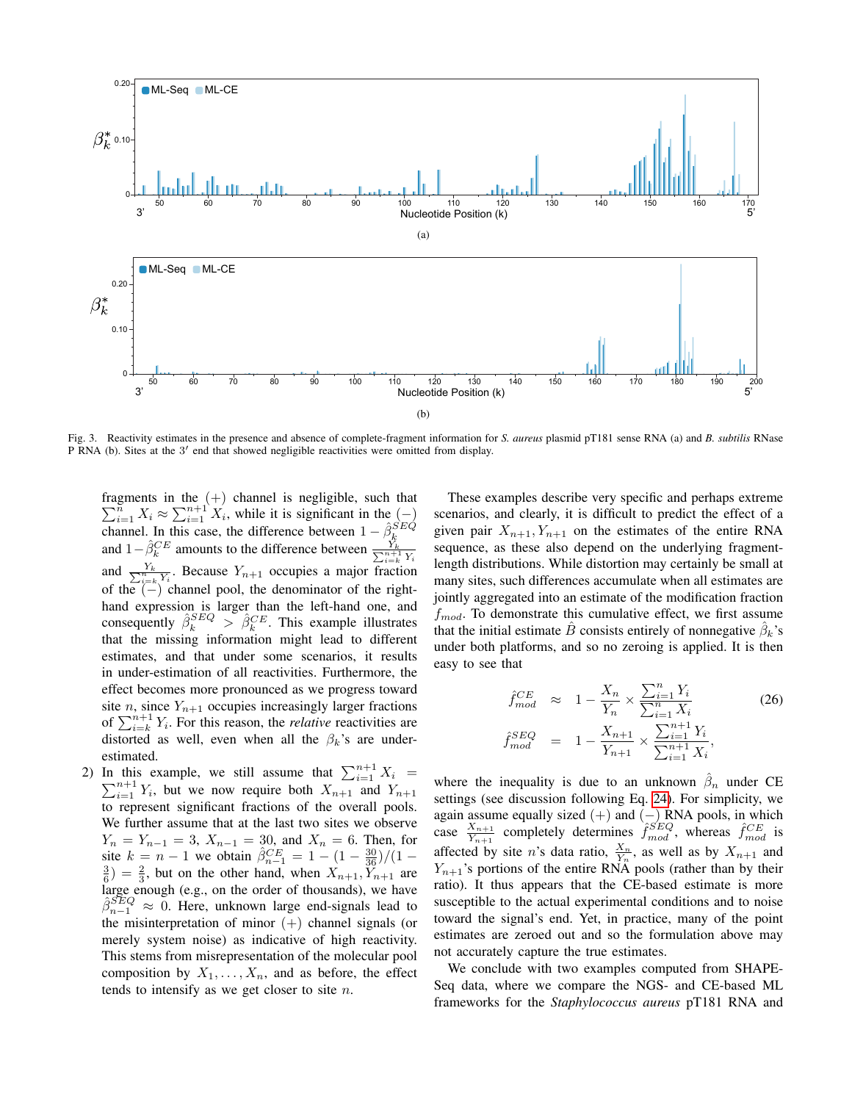

<span id="page-6-0"></span>Fig. 3. Reactivity estimates in the presence and absence of complete-fragment information for *S. aureus* plasmid pT181 sense RNA (a) and *B. subtilis* RNase P RNA (b). Sites at the 3' end that showed negligible reactivities were omitted from display.

P fragments in the  $(+)$  channel is negligible, such that  $\sum_{i=1}^{n} X_i \approx \sum_{i=1}^{n+1} X_i$ , while it is significant in the  $(-)$ channel. In this case, the difference between  $1 - \hat{\beta}_k^{SEQ}$ <br>and  $1 - \hat{\beta}_k^{CE}$  amounts to the difference between  $\frac{Y_k}{\sum_{i=k}^{n+1} Y_i}$ and  $\frac{Y_k}{\sum_{i=k}^n Y_i}$ . Because  $Y_{n+1}$  occupies a major fraction of the  $(-)$  channel pool, the denominator of the righthand expression is larger than the left-hand one, and consequently  $\hat{\beta}_k^{SEQ} > \hat{\beta}_k^{CE}$ . This example illustrates that the missing information might lead to different estimates, and that under some scenarios, it results in under-estimation of all reactivities. Furthermore, the effect becomes more pronounced as we progress toward site *n*, since  $Y_{n+1}$  occupies increasingly larger fractions of  $\sum_{i=k}^{n+1} Y_i$ . For this reason, the *relative* reactivities are distorted as well, even when all the  $\beta_k$ 's are underestimated.

2) In this example, we still assume that  $\sum_{i=1}^{n+1} X_i$  =  $\sum_{i=1}^{n+1} Y_i$ , but we now require both  $X_{n+1}$  and  $Y_{n+1}$ to represent significant fractions of the overall pools. We further assume that at the last two sites we observe  $Y_n = Y_{n-1} = 3$ ,  $X_{n-1} = 30$ , and  $X_n = 6$ . Then, for site  $k = n - 1$  we obtain  $\hat{\beta}_{n-1}^{CE} = 1 - (1 - \frac{30}{36})/(1 \frac{3}{6}$ ) =  $\frac{2}{3}$ , but on the other hand, when  $X_{n+1}$ ,  $Y_{n+1}$  are large enough (e.g., on the order of thousands), we have  $\hat{\beta}_{n-1}^{\text{SEQ}} \approx 0$ . Here, unknown large end-signals lead to the misinterpretation of minor  $(+)$  channel signals (or merely system noise) as indicative of high reactivity. This stems from misrepresentation of the molecular pool composition by  $X_1, \ldots, X_n$ , and as before, the effect tends to intensify as we get closer to site  $n$ .

These examples describe very specific and perhaps extreme scenarios, and clearly, it is difficult to predict the effect of a given pair  $X_{n+1}, Y_{n+1}$  on the estimates of the entire RNA sequence, as these also depend on the underlying fragmentlength distributions. While distortion may certainly be small at many sites, such differences accumulate when all estimates are jointly aggregated into an estimate of the modification fraction  $f_{mod}$ . To demonstrate this cumulative effect, we first assume that the initial estimate  $\hat{B}$  consists entirely of nonnegative  $\hat{\beta}_k$ 's under both platforms, and so no zeroing is applied. It is then easy to see that

$$
\hat{f}_{mod}^{CE} \approx 1 - \frac{X_n}{Y_n} \times \frac{\sum_{i=1}^n Y_i}{\sum_{i=1}^n X_i}
$$
\n
$$
\hat{f}_{mod}^{SEQ} = 1 - \frac{X_{n+1}}{Y_{n+1}} \times \frac{\sum_{i=1}^{n+1} Y_i}{\sum_{i=1}^{n+1} X_i},
$$
\n(26)

where the inequality is due to an unknown  $\hat{\beta}_n$  under CE settings (see discussion following Eq. [24\)](#page-5-0). For simplicity, we again assume equally sized  $(+)$  and  $(-)$  RNA pools, in which case  $\frac{X_{n+1}}{Y}$  $\frac{X_{n+1}}{Y_{n+1}}$  completely determines  $\hat{f}_{mod}^{SEQ}$ , whereas  $\hat{f}_{mod}^{CE}$  is affected by site *n*'s data ratio,  $\frac{X_n}{Y_n}$ , as well as by  $X_{n+1}$  and  $Y_{n+1}$ 's portions of the entire RNA pools (rather than by their ratio). It thus appears that the CE-based estimate is more susceptible to the actual experimental conditions and to noise toward the signal's end. Yet, in practice, many of the point estimates are zeroed out and so the formulation above may not accurately capture the true estimates.

We conclude with two examples computed from SHAPE-Seq data, where we compare the NGS- and CE-based ML frameworks for the *Staphylococcus aureus* pT181 RNA and